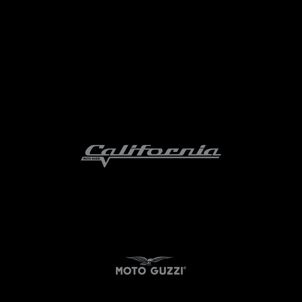

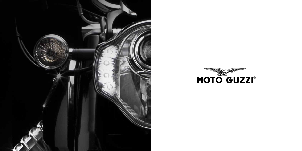

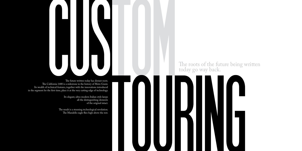The roots of the future being written today go way back.





The future written today has distant roots. The California 1400 is a milestone in the history of Moto Guzzi. Its wealth of technical features, together with the innovations introduced in the segment for the first time, place it at the very cutting edge of technology.

> Its elegant, ultra-modern Italian style keeps all the distinguishing elements of the original intact.

The result is a stunning technological revolution. The Mandello eagle flies high above the rest.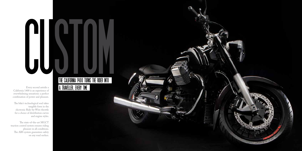Every second astride a California 1400 is an experience of overwhelming sensations: a perfect combination of power and pleasure.

UU

The bike's technological soul takes tangible form in the electronic Ride-by-Wire throttle for a choice of distribution curves and engine styles.

The state-of-the-art MGCT traction control system ensures riding pleasure in all conditions. The ABS system guarantees safety on any road surface.



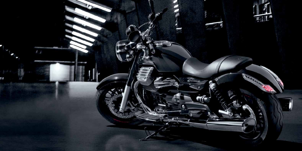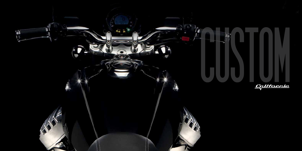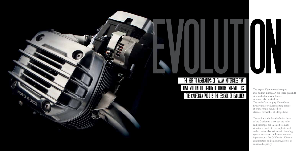The largest V2 motorcycle engine ever built in Europe. A six-speed gearshift. A new double-cradle frame. A new cardan shaft drive. The soul of the mighty Moto Guzzi twin cylinder with its exciting torque at every rpm is mounted on classical forms that challenge time.

The engine is the live throbbing heart of the California 1400, but the rider and passenger are shielded from its vibrations thanks to the sophisticated and exclusive elastokinematic fastening system. Attention to the environment is paramount: the California 1400 cuts consumption and emissions, despite its enhanced capacity.



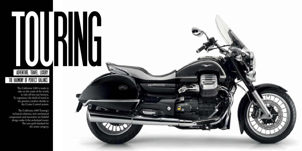The California 1400 is ready to take on the roads of the world, to ride off into any horizon. To experience the thrill of travel in the greatest comfort, thanks to the Cruise Control system.

## ADVENTURE, TRAVEL, LUXURY. **THE HARMONY OF PERFECT BALANCE.**

The California 1400 Touring's technical solutions, new mechanical components and innovative yet faithful design make it the archetypal tourer. The new gold standard for the entire category.



California

**ROTO GUEZO**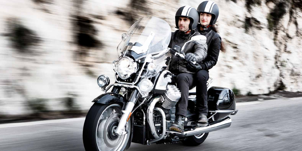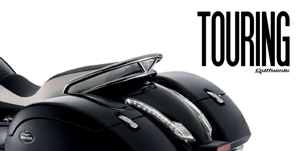

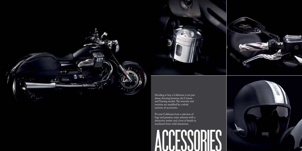

Deciding to buy a California, is not just about choosing between, the Custom and Touring models. The intensity and emotion are amplified by a whole universe of accessories.

Fit your California from a selection of bags and panniers, seats, exhausts with a distinctive timbre and a host of details in machined-from-solid aluminium.

ACCESS

**n** 

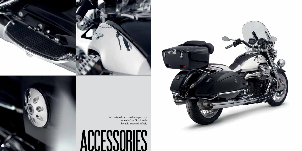



All designed and tested to express the true soul of the Guzzi eagle. Proudly produced in Italy.

## **UULUU** .W

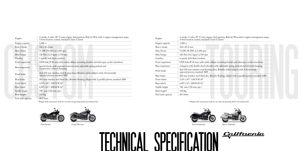

## engine 5-value ignition, 1-value in engine management maps,

| lescopes on the stanchions    |  |
|-------------------------------|--|
| ad and rebound damping        |  |
| with 4 horizontally           |  |
| arallel pistons; standard ABS |  |
|                               |  |
|                               |  |
|                               |  |
|                               |  |
|                               |  |
|                               |  |





| Engine             | 4-stroke, 4-valve, 90° V-twin engine, dual ignition, Ride by Wire with 3 engine management maps,<br>3-level traction control, standard Cruise Control |
|--------------------|-------------------------------------------------------------------------------------------------------------------------------------------------------|
| Engine capacity    | 1,380 cc                                                                                                                                              |
| Bore x stroke      | $104 \times 81.2 \text{ mm}$                                                                                                                          |
| Max. Power         | 71 kW (96 HP) at 6,500 rpm                                                                                                                            |
| Max Torque         | 120 Nm (12.3 kgm) 2,750 rpm                                                                                                                           |
| Gearbox            | 6 speeds with final overdrive                                                                                                                         |
| Front suspension   | UDS fork, $\varnothing$ 46 mm, with radial calliper mounting bracket and telescopes on the stanchions                                                 |
| Rear suspension    | special shocks with separated reservoir tank, adjustable spring preload and<br>compression/reboud damping                                             |
| Front brake        | dual 320 mm stainless steel floating discs, Brembo radial callipers with 4 horizontally<br>opposed pistons; standard ABS                              |
| Rear brake         | 282 mm stainless steel fixed disc, Brembo floating calliper with 2 parallel pistons; standard ABS                                                     |
| Front wheel        | $3.50''$ x $18''/130/70$ R $18''$                                                                                                                     |
| Rear wheel         | $6.00''$ x $16''/200/60$ R $16''$                                                                                                                     |
| Saddle height      | 740 mm (720 mm opt.)                                                                                                                                  |
| Kerb weight*       | $318$ Kg                                                                                                                                              |
| Fuel tank capacity | 20.5 litres                                                                                                                                           |

| Engine             | 4-stroke, 4-valve, 90° V-twin engine, dual ignition, Ride by Wire with 3 engine management ma<br>3-level traction control, standard Cruise Control |  |
|--------------------|----------------------------------------------------------------------------------------------------------------------------------------------------|--|
| Engine capacity    | 1,380 cc                                                                                                                                           |  |
| Bore x stroke      | $104 \times 81.2 \text{ mm}$                                                                                                                       |  |
| Max. Power         | 71 kW (96 HP) at 6,500 rpm                                                                                                                         |  |
| Max Torque         | 120 Nm (12.3 kgm) 2,750 rpm                                                                                                                        |  |
| Gearbox            | 6 speeds with final overdrive                                                                                                                      |  |
| Front suspension   | UDS fork, $\varnothing$ 46 mm, with radial calliper mounting bracket and telescopes on the stanchions                                              |  |
| Rear suspension    | swingarm with double shock absorber with adjustable spring preload and rebound damping                                                             |  |
| Front brake        | dual 320 mm stainless steel floating discs, Brembo radial callipers with 4 horizontally<br>opposed pistons; standard ABS                           |  |
| Rear brake         | 282 mm stainless steel fixed disc, Brembo floating calliper with 2 parallel pistons; standard ABS                                                  |  |
| Front wheel        | 3.50" x 18" / 130/70 R 18"                                                                                                                         |  |
| Rear wheel         | $6.00''$ x $16''/200/60$ R $16''$                                                                                                                  |  |
| Saddle height      | 740 mm (720 mm opt.)                                                                                                                               |  |
| Kerb weight*       | $318$ Kg                                                                                                                                           |  |
| Fuel tank capacity | 20.5 litres                                                                                                                                        |  |

\* Weight with motorcycle ready for use with all operating fluids and without fuel. \* Weight with motorcycle ready for use with all operating fluids and without fuel.







Nero Basalto Grigio Mercurio Nero Ambassador Bianco Eldorado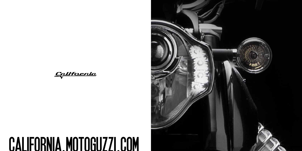

## **california.motoguzzi.com**